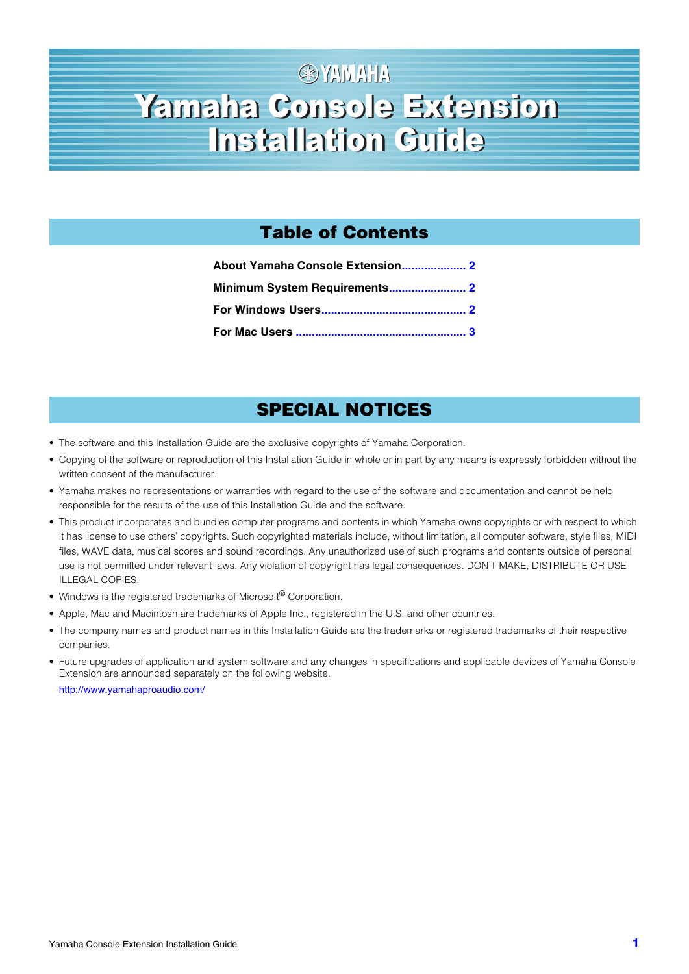# **金YAMAHA** Yamaha Console Extension Yamaha Console Extension Installation Guide Installation Guide

# **Table of Contents**

| About Yamaha Console Extension 2 |  |
|----------------------------------|--|
|                                  |  |
|                                  |  |
|                                  |  |

# **SPECIAL NOTICES**

- The software and this Installation Guide are the exclusive copyrights of Yamaha Corporation.
- Copying of the software or reproduction of this Installation Guide in whole or in part by any means is expressly forbidden without the written consent of the manufacturer.
- Yamaha makes no representations or warranties with regard to the use of the software and documentation and cannot be held responsible for the results of the use of this Installation Guide and the software.
- This product incorporates and bundles computer programs and contents in which Yamaha owns copyrights or with respect to which it has license to use others' copyrights. Such copyrighted materials include, without limitation, all computer software, style files, MIDI files, WAVE data, musical scores and sound recordings. Any unauthorized use of such programs and contents outside of personal use is not permitted under relevant laws. Any violation of copyright has legal consequences. DON'T MAKE, DISTRIBUTE OR USE ILLEGAL COPIES.
- Windows is the registered trademarks of Microsoft<sup>®</sup> Corporation.
- Apple, Mac and Macintosh are trademarks of Apple Inc., registered in the U.S. and other countries.
- The company names and product names in this Installation Guide are the trademarks or registered trademarks of their respective companies.
- Future upgrades of application and system software and any changes in specifications and applicable devices of Yamaha Console Extension are announced separately on the following website.

<http://www.yamahaproaudio.com/>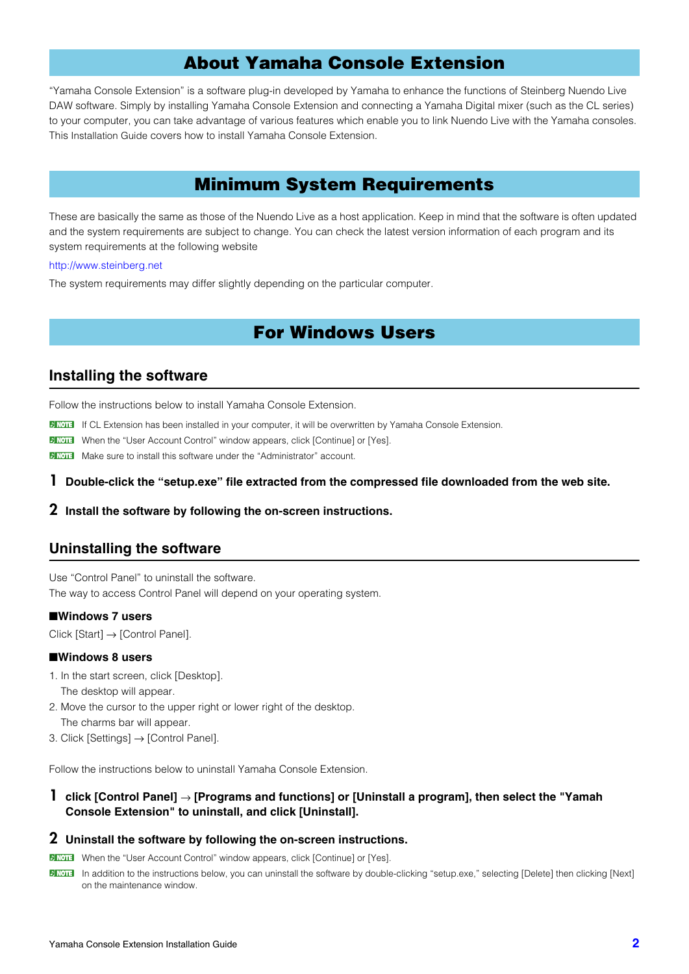## **About Yamaha Console Extension**

<span id="page-1-0"></span>"Yamaha Console Extension" is a software plug-in developed by Yamaha to enhance the functions of Steinberg Nuendo Live DAW software. Simply by installing Yamaha Console Extension and connecting a Yamaha Digital mixer (such as the CL series) to your computer, you can take advantage of various features which enable you to link Nuendo Live with the Yamaha consoles. This Installation Guide covers how to install Yamaha Console Extension.

### **Minimum System Requirements**

<span id="page-1-1"></span>These are basically the same as those of the Nuendo Live as a host application. Keep in mind that the software is often updated and the system requirements are subject to change. You can check the latest version information of each program and its system requirements at the following website

#### http://www.steinberg.net

<span id="page-1-2"></span>The system requirements may differ slightly depending on the particular computer.

### **For Windows Users**

### **Installing the software**

Follow the instructions below to install Yamaha Console Extension.

**DINGTE If CL Extension has been installed in your computer, it will be overwritten by Yamaha Console Extension.** 

**DETERFIFE** When the "User Account Control" window appears, click [Continue] or [Yes].

**DINGTE** Make sure to install this software under the "Administrator" account.

#### **1 Double-click the "setup.exe" file extracted from the compressed file downloaded from the web site.**

#### **2 Install the software by following the on-screen instructions.**

### **Uninstalling the software**

Use "Control Panel" to uninstall the software. The way to access Control Panel will depend on your operating system.

#### ■**Windows 7 users**

Click [Start] → [Control Panel].

#### ■**Windows 8 users**

- 1. In the start screen, click [Desktop]. The desktop will appear.
- 2. Move the cursor to the upper right or lower right of the desktop. The charms bar will appear.
- 3. Click [Settings] → [Control Panel].

Follow the instructions below to uninstall Yamaha Console Extension.

**1 click [Control Panel]** → **[Programs and functions] or [Uninstall a program], then select the "Yamah Console Extension" to uninstall, and click [Uninstall].**

#### **2 Uninstall the software by following the on-screen instructions.**

**DINOTE** When the "User Account Control" window appears, click [Continue] or [Yes].

**DINGTE In addition to the instructions below, you can uninstall the software by double-clicking "setup.exe," selecting [Delete] then clicking [Next]** on the maintenance window.